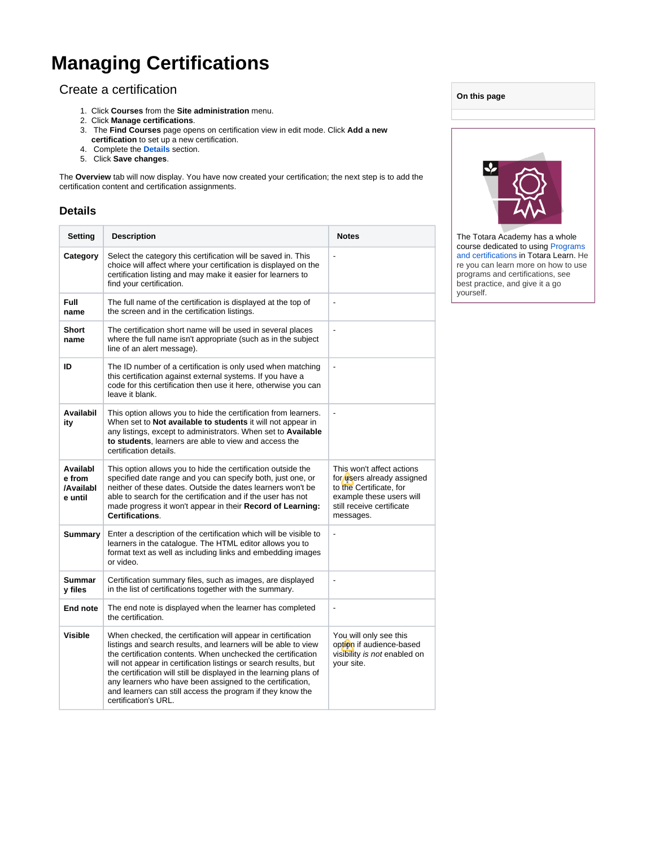# **Managing Certifications**

## Create a certification

- 1. Click **Courses** from the **Site administration** menu.
- 2. Click **Manage certifications**.
- 3. The **Find Courses** page opens on certification view in edit mode. Click **Add a new**
- **certification** to set up a new certification.
- 4. Complete the **Details** section.
- 5. Click **Save changes**.

The **Overview** tab will now display. You have now created your certification; the next step is to add the certification content and certification assignments.

#### **Details**

| Setting                                    | <b>Description</b>                                                                                                                                                                                                                                                                                                                                                                                                                                                                          | <b>Notes</b>                                                                                                                                             |
|--------------------------------------------|---------------------------------------------------------------------------------------------------------------------------------------------------------------------------------------------------------------------------------------------------------------------------------------------------------------------------------------------------------------------------------------------------------------------------------------------------------------------------------------------|----------------------------------------------------------------------------------------------------------------------------------------------------------|
| Category                                   | Select the category this certification will be saved in. This<br>choice will affect where your certification is displayed on the<br>certification listing and may make it easier for learners to<br>find your certification.                                                                                                                                                                                                                                                                |                                                                                                                                                          |
| <b>Full</b><br>name                        | The full name of the certification is displayed at the top of<br>the screen and in the certification listings.                                                                                                                                                                                                                                                                                                                                                                              | $\qquad \qquad \blacksquare$                                                                                                                             |
| Short<br>name                              | The certification short name will be used in several places<br>where the full name isn't appropriate (such as in the subject<br>line of an alert message).                                                                                                                                                                                                                                                                                                                                  | $\overline{a}$                                                                                                                                           |
| ID                                         | The ID number of a certification is only used when matching<br>this certification against external systems. If you have a<br>code for this certification then use it here, otherwise you can<br>leave it blank.                                                                                                                                                                                                                                                                             | $\overline{a}$                                                                                                                                           |
| Availabil<br>ity                           | This option allows you to hide the certification from learners.<br>When set to Not available to students it will not appear in<br>any listings, except to administrators. When set to Available<br>to students, learners are able to view and access the<br>certification details.                                                                                                                                                                                                          | ÷,                                                                                                                                                       |
| Availabl<br>e from<br>/Availabl<br>e until | This option allows you to hide the certification outside the<br>specified date range and you can specify both, just one, or<br>neither of these dates. Outside the dates learners won't be<br>able to search for the certification and if the user has not<br>made progress it won't appear in their Record of Learning:<br>Certifications.                                                                                                                                                 | This won't affect actions<br>for users already assigned<br>to the Certificate, for<br>example these users will<br>still receive certificate<br>messages. |
| <b>Summary</b>                             | Enter a description of the certification which will be visible to<br>learners in the catalogue. The HTML editor allows you to<br>format text as well as including links and embedding images<br>or video.                                                                                                                                                                                                                                                                                   | $\overline{a}$                                                                                                                                           |
| <b>Summar</b><br>y files                   | Certification summary files, such as images, are displayed<br>in the list of certifications together with the summary.                                                                                                                                                                                                                                                                                                                                                                      | L,                                                                                                                                                       |
| End note                                   | The end note is displayed when the learner has completed<br>the certification.                                                                                                                                                                                                                                                                                                                                                                                                              | $\blacksquare$                                                                                                                                           |
| Visible                                    | When checked, the certification will appear in certification<br>listings and search results, and learners will be able to view<br>the certification contents. When unchecked the certification<br>will not appear in certification listings or search results, but<br>the certification will still be displayed in the learning plans of<br>any learners who have been assigned to the certification,<br>and learners can still access the program if they know the<br>certification's URL. | You will only see this<br>option if audience-based<br>visibility is not enabled on<br>your site.                                                         |

| On this page                                                         |  |
|----------------------------------------------------------------------|--|
|                                                                      |  |
|                                                                      |  |
|                                                                      |  |
| The Totara Academy has a whole<br>course dedicated to using Programs |  |

course dedicated to using Programs [and certifications](https://totara.community/course/view.php?id=149) in Totara Learn. He re you can learn more on how to use programs and certifications, see best practice, and give it a go yourself.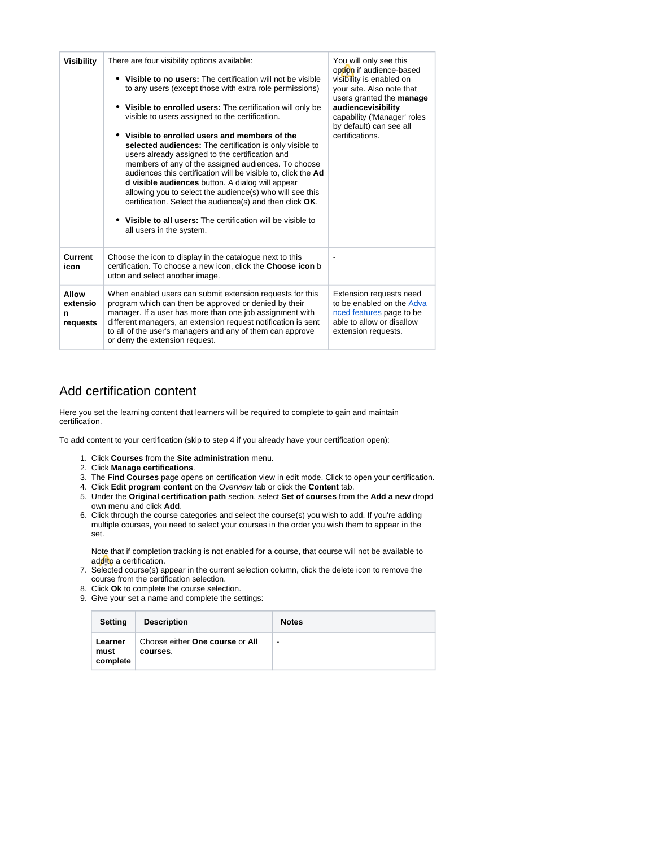| <b>Visibility</b>                  | There are four visibility options available:<br>Visible to no users: The certification will not be visible<br>to any users (except those with extra role permissions)<br>Visible to enrolled users: The certification will only be<br>visible to users assigned to the certification.<br>Visible to enrolled users and members of the<br>٠<br>selected audiences: The certification is only visible to<br>users already assigned to the certification and<br>members of any of the assigned audiences. To choose<br>audiences this certification will be visible to, click the Ad<br>d visible audiences button. A dialog will appear<br>allowing you to select the audience(s) who will see this<br>certification. Select the audience(s) and then click OK.<br>Visible to all users: The certification will be visible to<br>all users in the system. | You will only see this<br>option if audience-based<br>visibility is enabled on<br>your site. Also note that<br>users granted the manage<br>audiencevisibility<br>capability ('Manager' roles<br>by default) can see all<br>certifications. |
|------------------------------------|---------------------------------------------------------------------------------------------------------------------------------------------------------------------------------------------------------------------------------------------------------------------------------------------------------------------------------------------------------------------------------------------------------------------------------------------------------------------------------------------------------------------------------------------------------------------------------------------------------------------------------------------------------------------------------------------------------------------------------------------------------------------------------------------------------------------------------------------------------|--------------------------------------------------------------------------------------------------------------------------------------------------------------------------------------------------------------------------------------------|
| Current<br>icon                    | Choose the icon to display in the catalogue next to this<br>certification. To choose a new icon, click the Choose icon b<br>utton and select another image.                                                                                                                                                                                                                                                                                                                                                                                                                                                                                                                                                                                                                                                                                             |                                                                                                                                                                                                                                            |
| Allow<br>extensio<br>n<br>requests | When enabled users can submit extension requests for this<br>program which can then be approved or denied by their<br>manager. If a user has more than one job assignment with<br>different managers, an extension request notification is sent<br>to all of the user's managers and any of them can approve<br>or deny the extension request.                                                                                                                                                                                                                                                                                                                                                                                                                                                                                                          | Extension requests need<br>to be enabled on the Adva<br>nced features page to be<br>able to allow or disallow<br>extension requests.                                                                                                       |

#### Add certification content

Here you set the learning content that learners will be required to complete to gain and maintain certification.

To add content to your certification (skip to step 4 if you already have your certification open):

- 1. Click **Courses** from the **Site administration** menu.
- 2. Click **Manage certifications**.
- 3. The **Find Courses** page opens on certification view in edit mode. Click to open your certification.
- 4. Click **Edit program content** on the Overview tab or click the **Content** tab.
- 5. Under the **Original certification path** section, select **Set of courses** from the **Add a new** dropd own menu and click **Add**.
- 6. Click through the course categories and select the course(s) you wish to add. If you're adding multiple courses, you need to select your courses in the order you wish them to appear in the set.

Note that if completion tracking is not enabled for a course, that course will not be available to add to a certification.

- 7. Selected course(s) appear in the current selection column, click the delete icon to remove the course from the certification selection.
- 8. Click **Ok** to complete the course selection.
- 9. Give your set a name and complete the settings:

| Setting                     | <b>Description</b>                          | <b>Notes</b>             |
|-----------------------------|---------------------------------------------|--------------------------|
| Learner<br>must<br>complete | Choose either One course or All<br>courses. | $\overline{\phantom{a}}$ |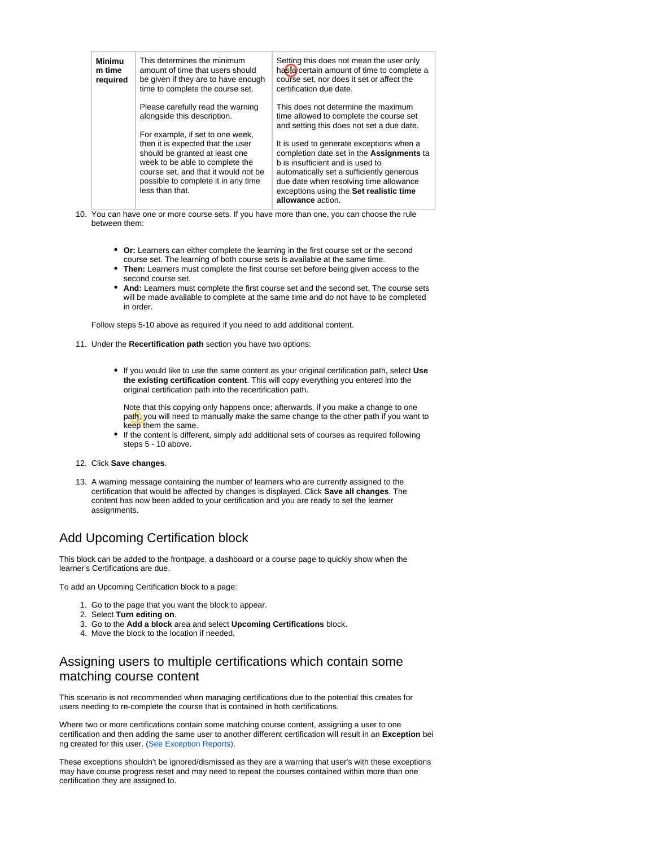| Minimu<br>m time<br>required | This determines the minimum<br>amount of time that users should<br>be given if they are to have enough<br>time to complete the course set.                                                                                                   | Setting this does not mean the user only<br>has a certain amount of time to complete a<br>course set, nor does it set or affect the<br>certification due date.                                                                                                                   |
|------------------------------|----------------------------------------------------------------------------------------------------------------------------------------------------------------------------------------------------------------------------------------------|----------------------------------------------------------------------------------------------------------------------------------------------------------------------------------------------------------------------------------------------------------------------------------|
|                              | Please carefully read the warning<br>alongside this description.                                                                                                                                                                             | This does not determine the maximum<br>time allowed to complete the course set<br>and setting this does not set a due date.                                                                                                                                                      |
|                              | For example, if set to one week,<br>then it is expected that the user<br>should be granted at least one<br>week to be able to complete the<br>course set, and that it would not be<br>possible to complete it in any time<br>less than that. | It is used to generate exceptions when a<br>completion date set in the Assignments ta<br>b is insufficient and is used to<br>automatically set a sufficiently generous<br>due date when resolving time allowance<br>exceptions using the Set realistic time<br>allowance action. |

- 10. You can have one or more course sets. If you have more than one, you can choose the rule between them:
	- **Or:** Learners can either complete the learning in the first course set or the second course set. The learning of both course sets is available at the same time.
	- **Then:** Learners must complete the first course set before being given access to the second course set.
	- **And:** Learners must complete the first course set and the second set. The course sets will be made available to complete at the same time and do not have to be completed in order.

Follow steps 5-10 above as required if you need to add additional content.

- 11. Under the **Recertification path** section you have two options:
	- If you would like to use the same content as your original certification path, select **Use the existing certification content**. This will copy everything you entered into the original certification path into the recertification path.

Note that this copying only happens once; afterwards, if you make a change to one path, you will need to manually make the same change to the other path if you want to keep them the same.

If the content is different, simply add additional sets of courses as required following steps 5 - 10 above.

#### 12. Click **Save changes**.

13. A warning message containing the number of learners who are currently assigned to the certification that would be affected by changes is displayed. Click **Save all changes**. The content has now been added to your certification and you are ready to set the learner assignments.

# Add Upcoming Certification block

This block can be added to the frontpage, a dashboard or a course page to quickly show when the learner's Certifications are due.

To add an Upcoming Certification block to a page:

- 1. Go to the page that you want the block to appear.
- 2. Select **Turn editing on**.
- 3. Go to the **Add a block** area and select **Upcoming Certifications** block.
- 4. Move the block to the location if needed.

### Assigning users to multiple certifications which contain some matching course content

This scenario is not recommended when managing certifications due to the potential this creates for users needing to re-complete the course that is contained in both certifications.

Where two or more certifications contain some matching course content, assigning a user to one certification and then adding the same user to another different certification will result in an **Exception** bei ng created for this user. ([See Exception Reports](http://help.totaralearning.com/display/TL25PMS/Certification+Exception+Reports)[\)](http://help.totaralearning.com/display/TL25PMS/.Certification+Exception+Reports+v2.5).

These exceptions shouldn't be ignored/dismissed as they are a warning that user's with these exceptions may have course progress reset and may need to repeat the courses contained within more than one certification they are assigned to.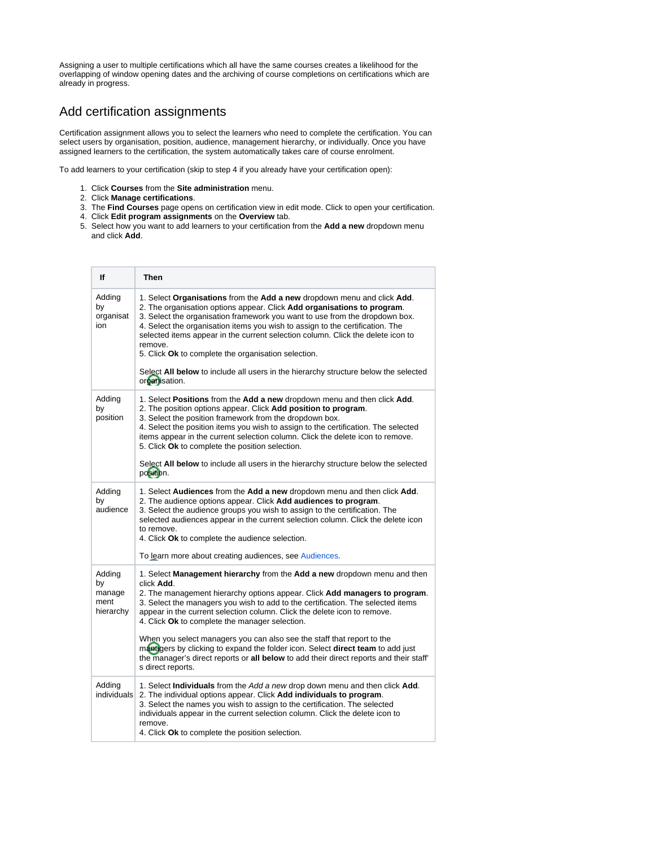Assigning a user to multiple certifications which all have the same courses creates a likelihood for the overlapping of window opening dates and the archiving of course completions on certifications which are already in progress.

#### Add certification assignments

Certification assignment allows you to select the learners who need to complete the certification. You can select users by organisation, position, audience, management hierarchy, or individually. Once you have assigned learners to the certification, the system automatically takes care of course enrolment.

To add learners to your certification (skip to step 4 if you already have your certification open):

- 1. Click **Courses** from the **Site administration** menu.
- 2. Click **Manage certifications**.
- 3. The **Find Courses** page opens on certification view in edit mode. Click to open your certification.
- 4. Click **Edit program assignments** on the **Overview** tab.
- 5. Select how you want to add learners to your certification from the **Add a new** dropdown menu and click **Add**.

| If                                          | Then                                                                                                                                                                                                                                                                                                                                                                                                                                                                                                                                                                                                                                                                                          |
|---------------------------------------------|-----------------------------------------------------------------------------------------------------------------------------------------------------------------------------------------------------------------------------------------------------------------------------------------------------------------------------------------------------------------------------------------------------------------------------------------------------------------------------------------------------------------------------------------------------------------------------------------------------------------------------------------------------------------------------------------------|
| Adding<br>by<br>organisat<br>ion            | 1. Select Organisations from the Add a new dropdown menu and click Add.<br>2. The organisation options appear. Click Add organisations to program.<br>3. Select the organisation framework you want to use from the dropdown box.<br>4. Select the organisation items you wish to assign to the certification. The<br>selected items appear in the current selection column. Click the delete icon to<br>remove.<br>5. Click Ok to complete the organisation selection.<br>Select All below to include all users in the hierarchy structure below the selected<br>organisation.                                                                                                               |
| Adding<br>by<br>position                    | 1. Select Positions from the Add a new dropdown menu and then click Add.<br>2. The position options appear. Click Add position to program.<br>3. Select the position framework from the dropdown box.<br>4. Select the position items you wish to assign to the certification. The selected<br>items appear in the current selection column. Click the delete icon to remove.<br>5. Click Ok to complete the position selection.<br>Select All below to include all users in the hierarchy structure below the selected<br>position.                                                                                                                                                          |
| Adding<br>by<br>audience                    | 1. Select Audiences from the Add a new dropdown menu and then click Add.<br>2. The audience options appear. Click Add audiences to program.<br>3. Select the audience groups you wish to assign to the certification. The<br>selected audiences appear in the current selection column. Click the delete icon<br>to remove.<br>4. Click Ok to complete the audience selection.<br>To learn more about creating audiences, see Audiences.                                                                                                                                                                                                                                                      |
| Adding<br>by<br>manage<br>ment<br>hierarchy | 1. Select <b>Management hierarchy</b> from the <b>Add a new</b> dropdown menu and then<br>click Add.<br>2. The management hierarchy options appear. Click <b>Add managers to program</b> .<br>3. Select the managers you wish to add to the certification. The selected items<br>appear in the current selection column. Click the delete icon to remove.<br>4. Click Ok to complete the manager selection.<br>When you select managers you can also see the staff that report to the<br>managers by clicking to expand the folder icon. Select <b>direct team</b> to add just<br>the manager's direct reports or all below to add their direct reports and their staff'<br>s direct reports. |
| Adding<br>individuals                       | 1. Select <b>Individuals</b> from the Add a new drop down menu and then click <b>Add</b> .<br>2. The individual options appear. Click Add individuals to program.<br>3. Select the names you wish to assign to the certification. The selected<br>individuals appear in the current selection column. Click the delete icon to<br>remove.<br>4. Click Ok to complete the position selection.                                                                                                                                                                                                                                                                                                  |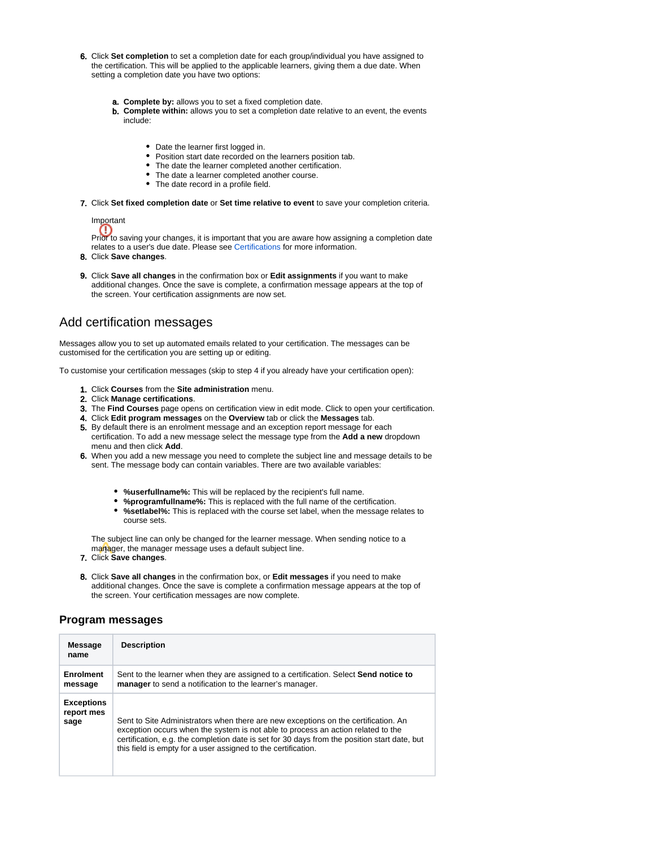- 6. Click **Set completion** to set a completion date for each group/individual you have assigned to the certification. This will be applied to the applicable learners, giving them a due date. When setting a completion date you have two options:
	- a. **Complete by:** allows you to set a fixed completion date.
	- b. **Complete within:** allows you to set a completion date relative to an event, the events include:
		- Date the learner first logged in.
		- Position start date recorded on the learners position tab.
		- The date the learner completed another certification.
		- The date a learner completed another course.
		- The date record in a profile field.
- 7. Click **Set fixed completion date** or **Set time relative to event** to save your completion criteria.

Important

Prior to saving your changes, it is important that you are aware how assigning a completion date relates to a user's due date. Please see [Certifications](https://help.totaralearning.com/display/TL9/Certifications) for more information.

8. Click **Save changes**.

9. Click **Save all changes** in the confirmation box or **Edit assignments** if you want to make additional changes. Once the save is complete, a confirmation message appears at the top of the screen. Your certification assignments are now set.

### Add certification messages

Messages allow you to set up automated emails related to your certification. The messages can be customised for the certification you are setting up or editing.

To customise your certification messages (skip to step 4 if you already have your certification open):

- 1. Click **Courses** from the **Site administration** menu.
- 2. Click **Manage certifications**.
- 3. The **Find Courses** page opens on certification view in edit mode. Click to open your certification.
- 4. Click **Edit program messages** on the **Overview** tab or click the **Messages** tab.
- 5. By default there is an enrolment message and an exception report message for each certification. To add a new message select the message type from the **Add a new** dropdown menu and then click **Add**.
- 6. When you add a new message you need to complete the subject line and message details to be sent. The message body can contain variables. There are two available variables:
	- **%userfullname%:** This will be replaced by the recipient's full name.
	- **%programfullname%:** This is replaced with the full name of the certification.
	- **%setlabel%:** This is replaced with the course set label, when the message relates to course sets.

The subject line can only be changed for the learner message. When sending notice to a manager, the manager message uses a default subject line.

- 7. Click **Save changes**.
- 8. Click **Save all changes** in the confirmation box, or **Edit messages** if you need to make additional changes. Once the save is complete a confirmation message appears at the top of the screen. Your certification messages are now complete.

#### **Program messages**

| Message<br>name                         | <b>Description</b>                                                                                                                                                                                                                                                                                                                      |
|-----------------------------------------|-----------------------------------------------------------------------------------------------------------------------------------------------------------------------------------------------------------------------------------------------------------------------------------------------------------------------------------------|
| Enrolment<br>message                    | Sent to the learner when they are assigned to a certification. Select Send notice to<br>manager to send a notification to the learner's manager.                                                                                                                                                                                        |
| <b>Exceptions</b><br>report mes<br>sage | Sent to Site Administrators when there are new exceptions on the certification. An<br>exception occurs when the system is not able to process an action related to the<br>certification, e.g. the completion date is set for 30 days from the position start date, but<br>this field is empty for a user assigned to the certification. |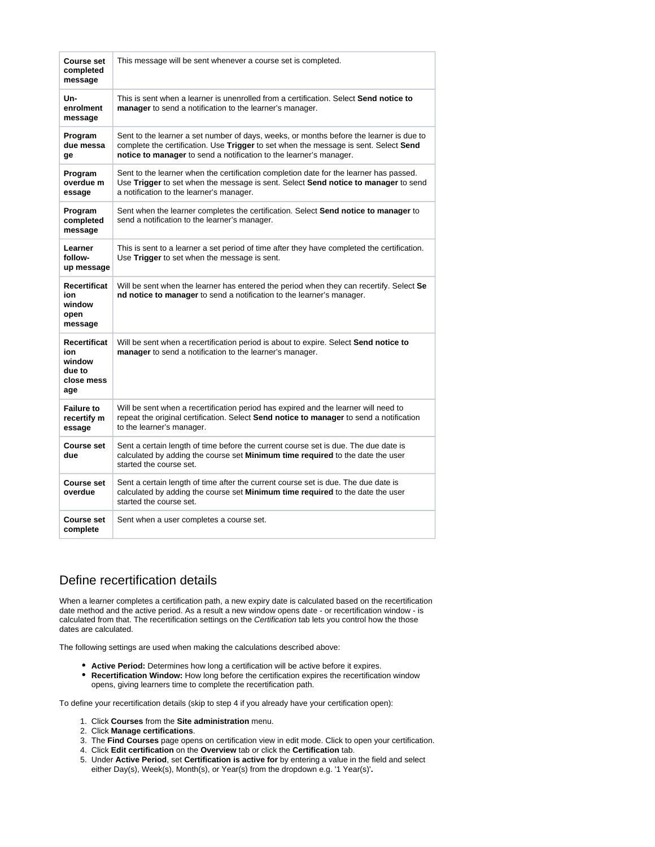| <b>Course set</b><br>completed<br>message                           | This message will be sent whenever a course set is completed.                                                                                                                                                                                         |
|---------------------------------------------------------------------|-------------------------------------------------------------------------------------------------------------------------------------------------------------------------------------------------------------------------------------------------------|
| Un-<br>enrolment<br>message                                         | This is sent when a learner is unenrolled from a certification. Select <b>Send notice to</b><br>manager to send a notification to the learner's manager.                                                                                              |
| Program<br>due messa<br>ge                                          | Sent to the learner a set number of days, weeks, or months before the learner is due to<br>complete the certification. Use Trigger to set when the message is sent. Select Send<br>notice to manager to send a notification to the learner's manager. |
| Program<br>overdue m<br>essage                                      | Sent to the learner when the certification completion date for the learner has passed.<br>Use Trigger to set when the message is sent. Select Send notice to manager to send<br>a notification to the learner's manager.                              |
| Program<br>completed<br>message                                     | Sent when the learner completes the certification. Select Send notice to manager to<br>send a notification to the learner's manager.                                                                                                                  |
| Learner<br>follow-<br>up message                                    | This is sent to a learner a set period of time after they have completed the certification.<br>Use Trigger to set when the message is sent.                                                                                                           |
| Recertificat<br>ion<br>window<br>open<br>message                    | Will be sent when the learner has entered the period when they can recertify. Select Se<br>nd notice to manager to send a notification to the learner's manager.                                                                                      |
| <b>Recertificat</b><br>ion<br>window<br>due to<br>close mess<br>age | Will be sent when a recertification period is about to expire. Select <b>Send notice to</b><br>manager to send a notification to the learner's manager.                                                                                               |
| <b>Failure to</b><br>recertify m<br>essage                          | Will be sent when a recertification period has expired and the learner will need to<br>repeat the original certification. Select Send notice to manager to send a notification<br>to the learner's manager.                                           |
| <b>Course set</b><br>due                                            | Sent a certain length of time before the current course set is due. The due date is<br>calculated by adding the course set Minimum time required to the date the user<br>started the course set.                                                      |
| Course set<br>overdue                                               | Sent a certain length of time after the current course set is due. The due date is<br>calculated by adding the course set <b>Minimum time required</b> to the date the user<br>started the course set.                                                |
| Course set<br>complete                                              | Sent when a user completes a course set.                                                                                                                                                                                                              |

### Define recertification details

When a learner completes a certification path, a new expiry date is calculated based on the recertification date method and the active period. As a result a new window opens date - or recertification window - is calculated from that. The recertification settings on the Certification tab lets you control how the those dates are calculated.

The following settings are used when making the calculations described above:

- **Active Period:** Determines how long a certification will be active before it expires.
- **Recertification Window:** How long before the certification expires the recertification window opens, giving learners time to complete the recertification path.

To define your recertification details (skip to step 4 if you already have your certification open):

- 1. Click **Courses** from the **Site administration** menu.
- 2. Click **Manage certifications**.
- 3. The **Find Courses** page opens on certification view in edit mode. Click to open your certification.
- 4. Click **Edit certification** on the **Overview** tab or click the **Certification** tab.
- 5. Under **Active Period**, set **Certification is active for** by entering a value in the field and select either Day(s), Week(s), Month(s), or Year(s) from the dropdown e.g. '1 Year(s)'**.**